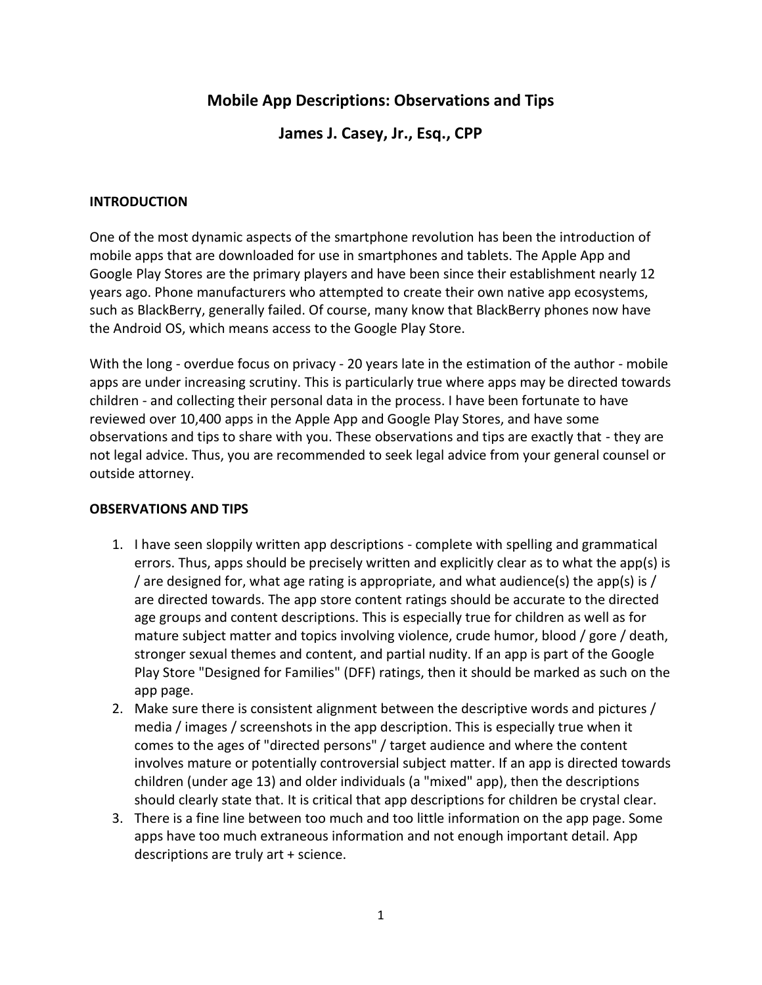# **Mobile App Descriptions: Observations and Tips**

## **James J. Casey, Jr., Esq., CPP**

### **INTRODUCTION**

One of the most dynamic aspects of the smartphone revolution has been the introduction of mobile apps that are downloaded for use in smartphones and tablets. The Apple App and Google Play Stores are the primary players and have been since their establishment nearly 12 years ago. Phone manufacturers who attempted to create their own native app ecosystems, such as BlackBerry, generally failed. Of course, many know that BlackBerry phones now have the Android OS, which means access to the Google Play Store.

With the long - overdue focus on privacy - 20 years late in the estimation of the author - mobile apps are under increasing scrutiny. This is particularly true where apps may be directed towards children - and collecting their personal data in the process. I have been fortunate to have reviewed over 10,400 apps in the Apple App and Google Play Stores, and have some observations and tips to share with you. These observations and tips are exactly that - they are not legal advice. Thus, you are recommended to seek legal advice from your general counsel or outside attorney.

#### **OBSERVATIONS AND TIPS**

- 1. I have seen sloppily written app descriptions complete with spelling and grammatical errors. Thus, apps should be precisely written and explicitly clear as to what the app(s) is / are designed for, what age rating is appropriate, and what audience(s) the app(s) is / are directed towards. The app store content ratings should be accurate to the directed age groups and content descriptions. This is especially true for children as well as for mature subject matter and topics involving violence, crude humor, blood / gore / death, stronger sexual themes and content, and partial nudity. If an app is part of the Google Play Store "Designed for Families" (DFF) ratings, then it should be marked as such on the app page.
- 2. Make sure there is consistent alignment between the descriptive words and pictures / media / images / screenshots in the app description. This is especially true when it comes to the ages of "directed persons" / target audience and where the content involves mature or potentially controversial subject matter. If an app is directed towards children (under age 13) and older individuals (a "mixed" app), then the descriptions should clearly state that. It is critical that app descriptions for children be crystal clear.
- 3. There is a fine line between too much and too little information on the app page. Some apps have too much extraneous information and not enough important detail. App descriptions are truly art + science.